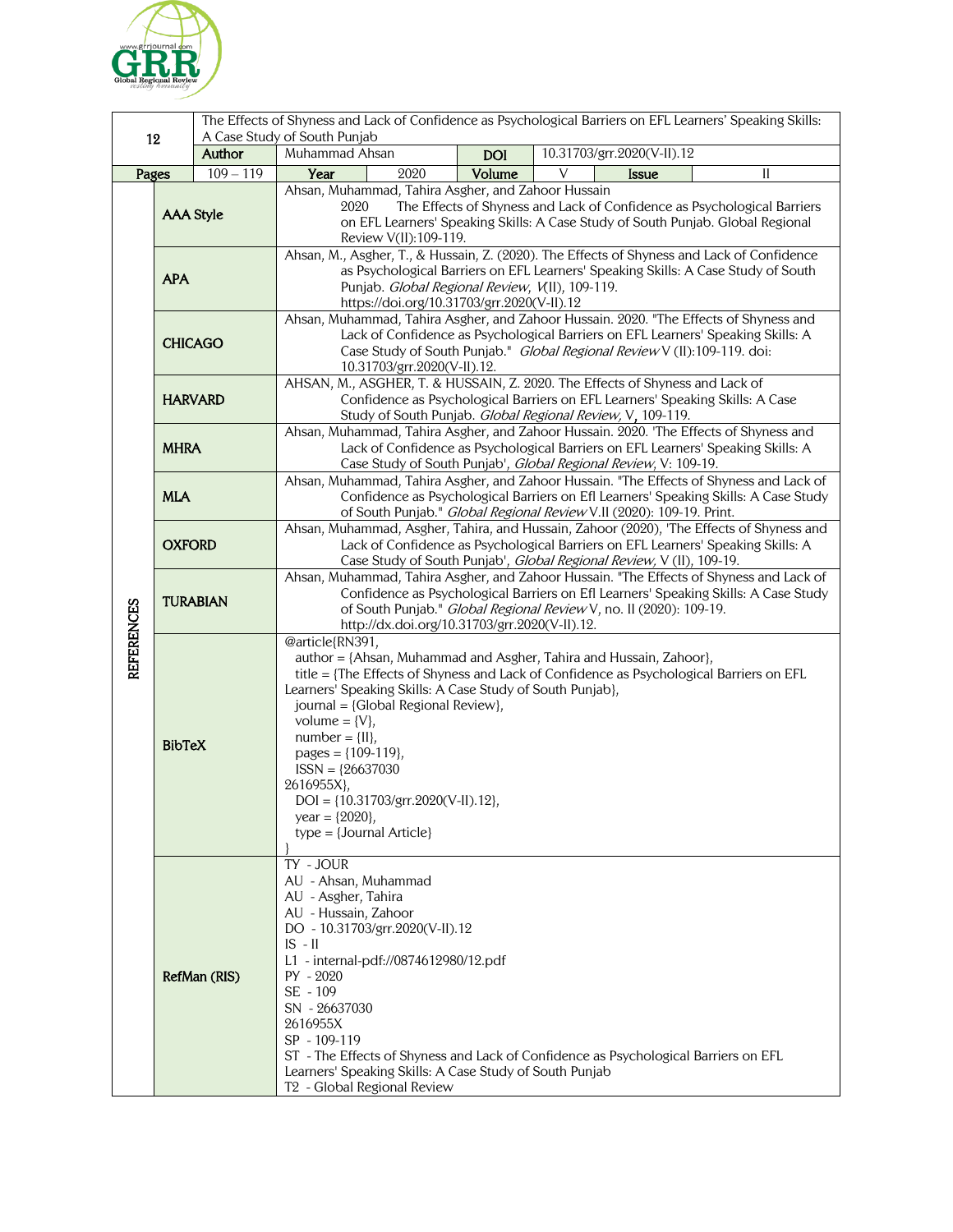

|                   |                  |                       | The Effects of Shyness and Lack of Confidence as Psychological Barriers on EFL Learners' Speaking Skills:<br>A Case Study of South Punjab                                                                                                                                                                                                                                                                                                                                                     |            |                            |              |  |    |
|-------------------|------------------|-----------------------|-----------------------------------------------------------------------------------------------------------------------------------------------------------------------------------------------------------------------------------------------------------------------------------------------------------------------------------------------------------------------------------------------------------------------------------------------------------------------------------------------|------------|----------------------------|--------------|--|----|
| 12                |                  | Author                | Muhammad Ahsan                                                                                                                                                                                                                                                                                                                                                                                                                                                                                | <b>DOI</b> | 10.31703/grr.2020(V-II).12 |              |  |    |
| Pages             |                  | $\frac{109 - 119}{2}$ | 2020<br>Year                                                                                                                                                                                                                                                                                                                                                                                                                                                                                  | Volume     | V                          | <b>Issue</b> |  | II |
| <b>REFERENCES</b> | <b>AAA Style</b> |                       | Ahsan, Muhammad, Tahira Asgher, and Zahoor Hussain<br>The Effects of Shyness and Lack of Confidence as Psychological Barriers<br>2020<br>on EFL Learners' Speaking Skills: A Case Study of South Punjab. Global Regional<br>Review V(II):109-119.                                                                                                                                                                                                                                             |            |                            |              |  |    |
|                   | <b>APA</b>       |                       | Ahsan, M., Asgher, T., & Hussain, Z. (2020). The Effects of Shyness and Lack of Confidence<br>as Psychological Barriers on EFL Learners' Speaking Skills: A Case Study of South<br>Punjab. Global Regional Review, V(II), 109-119.<br>https://doi.org/10.31703/grr.2020(V-II).12                                                                                                                                                                                                              |            |                            |              |  |    |
|                   | <b>CHICAGO</b>   |                       | Ahsan, Muhammad, Tahira Asgher, and Zahoor Hussain. 2020. "The Effects of Shyness and<br>Lack of Confidence as Psychological Barriers on EFL Learners' Speaking Skills: A<br>Case Study of South Punjab." Global Regional Review V (II):109-119. doi:<br>10.31703/grr.2020(V-II).12.                                                                                                                                                                                                          |            |                            |              |  |    |
|                   | <b>HARVARD</b>   |                       | AHSAN, M., ASGHER, T. & HUSSAIN, Z. 2020. The Effects of Shyness and Lack of<br>Confidence as Psychological Barriers on EFL Learners' Speaking Skills: A Case<br>Study of South Punjab. Global Regional Review, V, 109-119.                                                                                                                                                                                                                                                                   |            |                            |              |  |    |
|                   | <b>MHRA</b>      |                       | Ahsan, Muhammad, Tahira Asgher, and Zahoor Hussain. 2020. 'The Effects of Shyness and<br>Lack of Confidence as Psychological Barriers on EFL Learners' Speaking Skills: A<br>Case Study of South Punjab', Global Regional Review, V: 109-19.                                                                                                                                                                                                                                                  |            |                            |              |  |    |
|                   | <b>MLA</b>       |                       | Ahsan, Muhammad, Tahira Asgher, and Zahoor Hussain. "The Effects of Shyness and Lack of<br>Confidence as Psychological Barriers on Efl Learners' Speaking Skills: A Case Study<br>of South Punjab." Global Regional Review V.II (2020): 109-19. Print.                                                                                                                                                                                                                                        |            |                            |              |  |    |
|                   | <b>OXFORD</b>    |                       | Ahsan, Muhammad, Asgher, Tahira, and Hussain, Zahoor (2020), 'The Effects of Shyness and<br>Lack of Confidence as Psychological Barriers on EFL Learners' Speaking Skills: A<br>Case Study of South Punjab', Global Regional Review, V (II), 109-19.                                                                                                                                                                                                                                          |            |                            |              |  |    |
|                   | <b>TURABIAN</b>  |                       | Ahsan, Muhammad, Tahira Asgher, and Zahoor Hussain. "The Effects of Shyness and Lack of<br>Confidence as Psychological Barriers on Efl Learners' Speaking Skills: A Case Study<br>of South Punjab." Global Regional Review V, no. II (2020): 109-19.<br>http://dx.doi.org/10.31703/grr.2020(V-II).12.                                                                                                                                                                                         |            |                            |              |  |    |
|                   | <b>BibTeX</b>    |                       | @article{RN391,<br>author = {Ahsan, Muhammad and Asgher, Tahira and Hussain, Zahoor},<br>title = {The Effects of Shyness and Lack of Confidence as Psychological Barriers on EFL<br>Learners' Speaking Skills: A Case Study of South Punjab},<br>journal = {Global Regional Review},<br>volume = $\{V\},\$<br>$number = \{II\},\$<br>pages = ${109-119}$ ,<br>$ISSN = {26637030}$<br>2616955X},<br>$DOI = \{10.31703/grr.2020(V-II).12\},$<br>year = ${2020}$ ,<br>$type = {Journal Article}$ |            |                            |              |  |    |
|                   | RefMan (RIS)     |                       | TY - JOUR<br>AU - Ahsan, Muhammad<br>AU - Asgher, Tahira<br>AU - Hussain, Zahoor<br>DO - 10.31703/grr.2020(V-II).12<br>$IS - II$<br>L1 - internal-pdf://0874612980/12.pdf<br>PY - 2020<br>SE - 109<br>SN - 26637030<br>2616955X<br>SP - 109-119<br>ST - The Effects of Shyness and Lack of Confidence as Psychological Barriers on EFL<br>Learners' Speaking Skills: A Case Study of South Punjab<br>T <sub>2</sub> - Global Regional Review                                                  |            |                            |              |  |    |